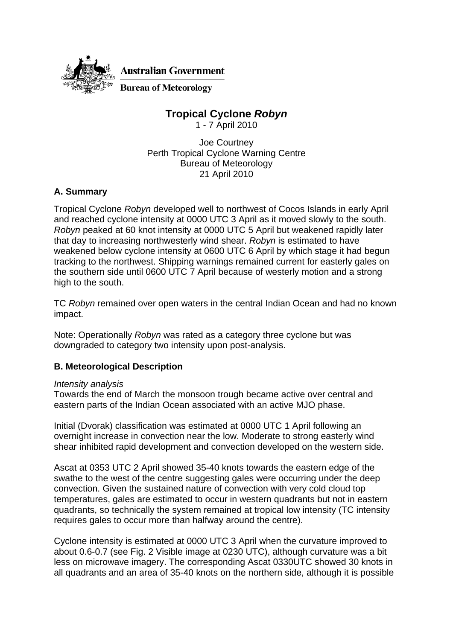

# **Tropical Cyclone** *Robyn*

1 - 7 April 2010

Joe Courtney Perth Tropical Cyclone Warning Centre Bureau of Meteorology 21 April 2010

## **A. Summary**

Tropical Cyclone *Robyn* developed well to northwest of Cocos Islands in early April and reached cyclone intensity at 0000 UTC 3 April as it moved slowly to the south. *Robyn* peaked at 60 knot intensity at 0000 UTC 5 April but weakened rapidly later that day to increasing northwesterly wind shear. *Robyn* is estimated to have weakened below cyclone intensity at 0600 UTC 6 April by which stage it had begun tracking to the northwest. Shipping warnings remained current for easterly gales on the southern side until 0600 UTC 7 April because of westerly motion and a strong high to the south.

TC *Robyn* remained over open waters in the central Indian Ocean and had no known impact.

Note: Operationally *Robyn* was rated as a category three cyclone but was downgraded to category two intensity upon post-analysis.

## **B. Meteorological Description**

### *Intensity analysis*

Towards the end of March the monsoon trough became active over central and eastern parts of the Indian Ocean associated with an active MJO phase.

Initial (Dvorak) classification was estimated at 0000 UTC 1 April following an overnight increase in convection near the low. Moderate to strong easterly wind shear inhibited rapid development and convection developed on the western side.

Ascat at 0353 UTC 2 April showed 35-40 knots towards the eastern edge of the swathe to the west of the centre suggesting gales were occurring under the deep convection. Given the sustained nature of convection with very cold cloud top temperatures, gales are estimated to occur in western quadrants but not in eastern quadrants, so technically the system remained at tropical low intensity (TC intensity requires gales to occur more than halfway around the centre).

Cyclone intensity is estimated at 0000 UTC 3 April when the curvature improved to about 0.6-0.7 (see Fig. 2 Visible image at 0230 UTC), although curvature was a bit less on microwave imagery. The corresponding Ascat 0330UTC showed 30 knots in all quadrants and an area of 35-40 knots on the northern side, although it is possible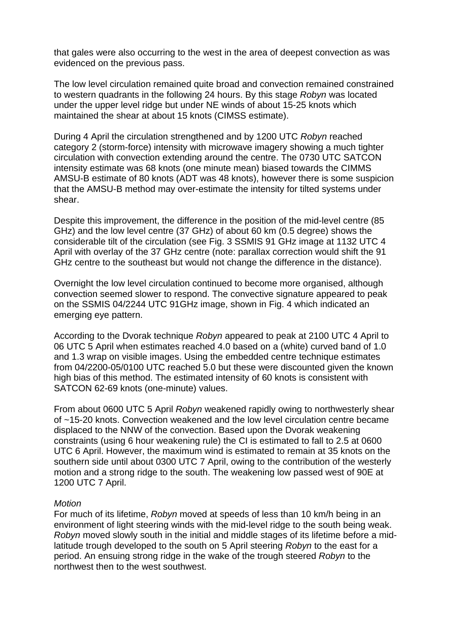that gales were also occurring to the west in the area of deepest convection as was evidenced on the previous pass.

The low level circulation remained quite broad and convection remained constrained to western quadrants in the following 24 hours. By this stage *Robyn* was located under the upper level ridge but under NE winds of about 15-25 knots which maintained the shear at about 15 knots (CIMSS estimate).

During 4 April the circulation strengthened and by 1200 UTC *Robyn* reached category 2 (storm-force) intensity with microwave imagery showing a much tighter circulation with convection extending around the centre. The 0730 UTC SATCON intensity estimate was 68 knots (one minute mean) biased towards the CIMMS AMSU-B estimate of 80 knots (ADT was 48 knots), however there is some suspicion that the AMSU-B method may over-estimate the intensity for tilted systems under shear.

Despite this improvement, the difference in the position of the mid-level centre (85 GHz) and the low level centre (37 GHz) of about 60 km (0.5 degree) shows the considerable tilt of the circulation (see Fig. 3 SSMIS 91 GHz image at 1132 UTC 4 April with overlay of the 37 GHz centre (note: parallax correction would shift the 91 GHz centre to the southeast but would not change the difference in the distance).

Overnight the low level circulation continued to become more organised, although convection seemed slower to respond. The convective signature appeared to peak on the SSMIS 04/2244 UTC 91GHz image, shown in Fig. 4 which indicated an emerging eye pattern.

According to the Dvorak technique *Robyn* appeared to peak at 2100 UTC 4 April to 06 UTC 5 April when estimates reached 4.0 based on a (white) curved band of 1.0 and 1.3 wrap on visible images. Using the embedded centre technique estimates from 04/2200-05/0100 UTC reached 5.0 but these were discounted given the known high bias of this method. The estimated intensity of 60 knots is consistent with SATCON 62-69 knots (one-minute) values.

From about 0600 UTC 5 April *Robyn* weakened rapidly owing to northwesterly shear of ~15-20 knots. Convection weakened and the low level circulation centre became displaced to the NNW of the convection. Based upon the Dvorak weakening constraints (using 6 hour weakening rule) the CI is estimated to fall to 2.5 at 0600 UTC 6 April. However, the maximum wind is estimated to remain at 35 knots on the southern side until about 0300 UTC 7 April, owing to the contribution of the westerly motion and a strong ridge to the south. The weakening low passed west of 90E at 1200 UTC 7 April.

#### *Motion*

For much of its lifetime, *Robyn* moved at speeds of less than 10 km/h being in an environment of light steering winds with the mid-level ridge to the south being weak. *Robyn* moved slowly south in the initial and middle stages of its lifetime before a midlatitude trough developed to the south on 5 April steering *Robyn* to the east for a period. An ensuing strong ridge in the wake of the trough steered *Robyn* to the northwest then to the west southwest.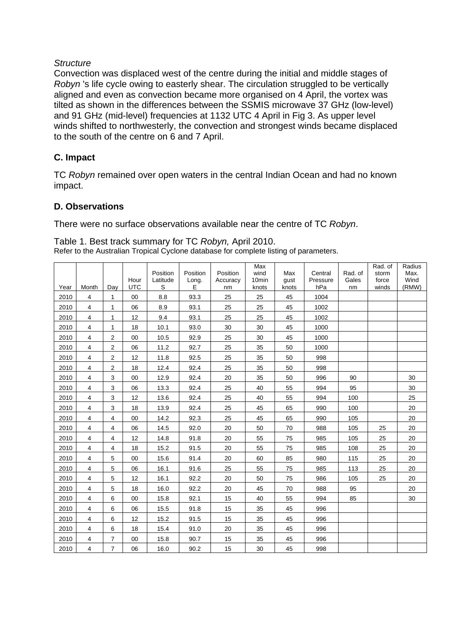### *Structure*

Convection was displaced west of the centre during the initial and middle stages of *Robyn* 's life cycle owing to easterly shear. The circulation struggled to be vertically aligned and even as convection became more organised on 4 April, the vortex was tilted as shown in the differences between the SSMIS microwave 37 GHz (low-level) and 91 GHz (mid-level) frequencies at 1132 UTC 4 April in Fig 3. As upper level winds shifted to northwesterly, the convection and strongest winds became displaced to the south of the centre on 6 and 7 April.

### **C. Impact**

TC *Robyn* remained over open waters in the central Indian Ocean and had no known impact.

### **D. Observations**

There were no surface observations available near the centre of TC *Robyn*.

| Table 1. Best track summary for TC Robyn, April 2010.                                 |
|---------------------------------------------------------------------------------------|
| Refer to the Australian Tropical Cyclone database for complete listing of parameters. |

|      |                |                |                    | Position      | Position   | Position       | Max<br>wind                | Max           | Central         | Rad. of     | Rad. of<br>storm | Radius<br>Max. |
|------|----------------|----------------|--------------------|---------------|------------|----------------|----------------------------|---------------|-----------------|-------------|------------------|----------------|
| Year | Month          | Dav            | Hour<br><b>UTC</b> | Latitude<br>S | Long.<br>Е | Accuracy<br>nm | 10 <sub>min</sub><br>knots | gust<br>knots | Pressure<br>hPa | Gales<br>nm | force<br>winds   | Wind<br>(RMW)  |
| 2010 | $\overline{4}$ | 1              | 00                 | 8.8           | 93.3       | 25             | 25                         | 45            | 1004            |             |                  |                |
| 2010 | $\overline{4}$ | 1              | 06                 | 8.9           | 93.1       | 25             | 25                         | 45            | 1002            |             |                  |                |
| 2010 | 4              | 1              | 12                 | 9.4           | 93.1       | 25             | 25                         | 45            | 1002            |             |                  |                |
| 2010 | $\overline{4}$ | 1              | 18                 | 10.1          | 93.0       | 30             | 30                         | 45            | 1000            |             |                  |                |
| 2010 | $\overline{4}$ | 2              | 00                 | 10.5          | 92.9       | 25             | 30                         | 45            | 1000            |             |                  |                |
| 2010 | $\overline{4}$ | 2              | 06                 | 11.2          | 92.7       | 25             | 35                         | 50            | 1000            |             |                  |                |
| 2010 | 4              | 2              | 12                 | 11.8          | 92.5       | 25             | 35                         | 50            | 998             |             |                  |                |
| 2010 | $\overline{4}$ | $\overline{2}$ | 18                 | 12.4          | 92.4       | 25             | 35                         | 50            | 998             |             |                  |                |
| 2010 | $\overline{4}$ | 3              | 00                 | 12.9          | 92.4       | 20             | 35                         | 50            | 996             | 90          |                  | 30             |
| 2010 | $\overline{4}$ | 3              | 06                 | 13.3          | 92.4       | 25             | 40                         | 55            | 994             | 95          |                  | 30             |
| 2010 | $\overline{4}$ | 3              | 12                 | 13.6          | 92.4       | 25             | 40                         | 55            | 994             | 100         |                  | 25             |
| 2010 | $\overline{4}$ | 3              | 18                 | 13.9          | 92.4       | 25             | 45                         | 65            | 990             | 100         |                  | 20             |
| 2010 | $\overline{4}$ | 4              | 00                 | 14.2          | 92.3       | 25             | 45                         | 65            | 990             | 105         |                  | 20             |
| 2010 | $\overline{4}$ | 4              | 06                 | 14.5          | 92.0       | 20             | 50                         | 70            | 988             | 105         | 25               | 20             |
| 2010 | 4              | 4              | 12                 | 14.8          | 91.8       | 20             | 55                         | 75            | 985             | 105         | 25               | 20             |
| 2010 | $\overline{4}$ | 4              | 18                 | 15.2          | 91.5       | 20             | 55                         | 75            | 985             | 108         | 25               | 20             |
| 2010 | $\overline{4}$ | 5              | 00                 | 15.6          | 91.4       | 20             | 60                         | 85            | 980             | 115         | 25               | 20             |
| 2010 | $\overline{4}$ | 5              | 06                 | 16.1          | 91.6       | 25             | 55                         | 75            | 985             | 113         | 25               | 20             |
| 2010 | $\overline{4}$ | 5              | 12                 | 16.1          | 92.2       | 20             | 50                         | 75            | 986             | 105         | 25               | 20             |
| 2010 | 4              | 5              | 18                 | 16.0          | 92.2       | 20             | 45                         | 70            | 988             | 95          |                  | 20             |
| 2010 | $\overline{4}$ | 6              | 00                 | 15.8          | 92.1       | 15             | 40                         | 55            | 994             | 85          |                  | 30             |
| 2010 | $\overline{4}$ | 6              | 06                 | 15.5          | 91.8       | 15             | 35                         | 45            | 996             |             |                  |                |
| 2010 | $\overline{4}$ | 6              | 12                 | 15.2          | 91.5       | 15             | 35                         | 45            | 996             |             |                  |                |
| 2010 | $\overline{4}$ | 6              | 18                 | 15.4          | 91.0       | 20             | 35                         | 45            | 996             |             |                  |                |
| 2010 | 4              | 7              | 00                 | 15.8          | 90.7       | 15             | 35                         | 45            | 996             |             |                  |                |
| 2010 | $\overline{4}$ | $\overline{7}$ | 06                 | 16.0          | 90.2       | 15             | 30                         | 45            | 998             |             |                  |                |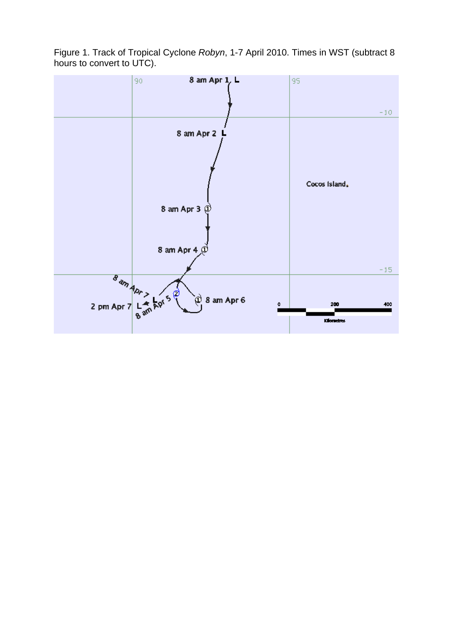Figure 1. Track of Tropical Cyclone *Robyn*, 1-7 April 2010. Times in WST (subtract 8 hours to convert to UTC).

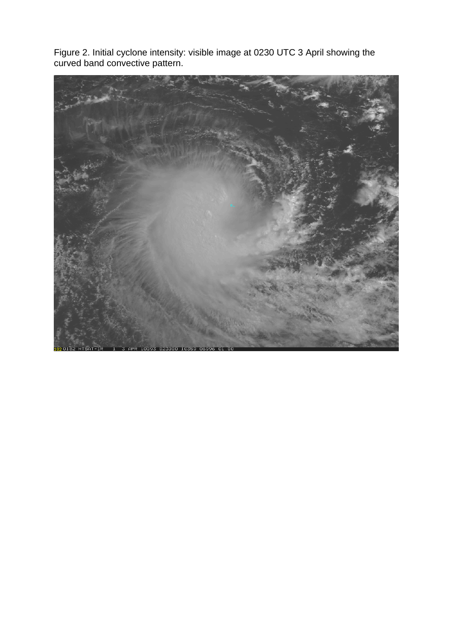Figure 2. Initial cyclone intensity: visible image at 0230 UTC 3 April showing the curved band convective pattern.

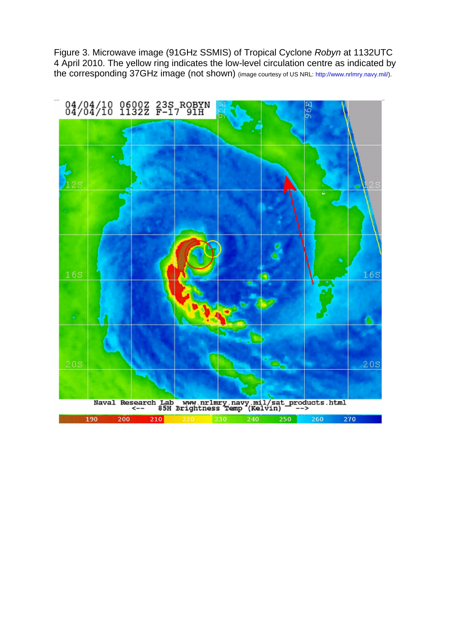Figure 3. Microwave image (91GHz SSMIS) of Tropical Cyclone *Robyn* at 1132UTC 4 April 2010. The yellow ring indicates the low-level circulation centre as indicated by the corresponding 37GHz image (not shown) (image courtesy of US NRL: http://www.nrlmry.navy.mil/).